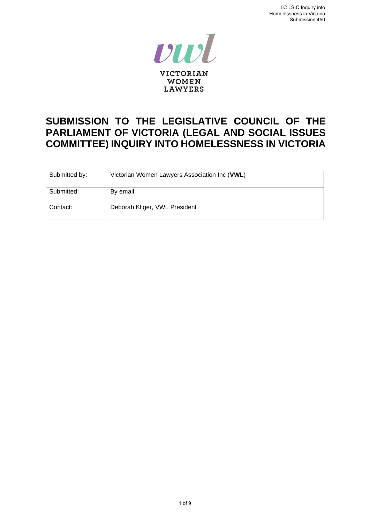

# **SUBMISSION TO THE LEGISLATIVE COUNCIL OF THE PARLIAMENT OF VICTORIA (LEGAL AND SOCIAL ISSUES COMMITTEE) INQUIRY INTO HOMELESSNESS IN VICTORIA**

| Submitted by: | Victorian Women Lawyers Association Inc (VWL) |
|---------------|-----------------------------------------------|
| Submitted:    | By email                                      |
| Contact:      | Deborah Kliger, VWL President                 |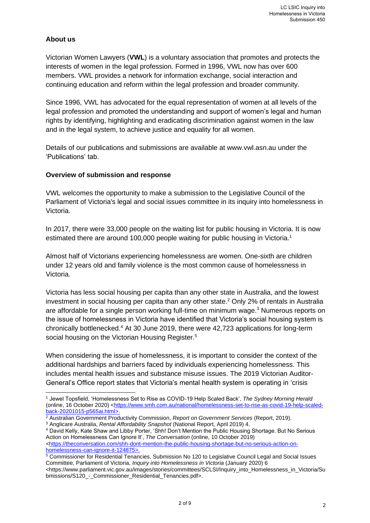# **About us**

Victorian Women Lawyers (**VWL**) is a voluntary association that promotes and protects the interests of women in the legal profession. Formed in 1996, VWL now has over 600 members. VWL provides a network for information exchange, social interaction and continuing education and reform within the legal profession and broader community.

Since 1996, VWL has advocated for the equal representation of women at all levels of the legal profession and promoted the understanding and support of women's legal and human rights by identifying, highlighting and eradicating discrimination against women in the law and in the legal system, to achieve justice and equality for all women.

Details of our publications and submissions are available at www.vwl.asn.au under the 'Publications' tab.

### **Overview of submission and response**

VWL welcomes the opportunity to make a submission to the Legislative Council of the Parliament of Victoria's legal and social issues committee in its inquiry into homelessness in Victoria.

In 2017, there were 33,000 people on the waiting list for public housing in Victoria. It is now estimated there are around 100,000 people waiting for public housing in Victoria.<sup>1</sup>

Almost half of Victorians experiencing homelessness are women. One-sixth are children under 12 years old and family violence is the most common cause of homelessness in Victoria.

Victoria has less social housing per capita than any other state in Australia, and the lowest investment in social housing per capita than any other state.<sup>2</sup> Only 2% of rentals in Australia are affordable for a single person working full-time on minimum wage.<sup>3</sup> Numerous reports on the issue of homelessness in Victoria have identified that Victoria's social housing system is chronically bottlenecked.<sup>4</sup> At 30 June 2019, there were 42,723 applications for long-term social housing on the Victorian Housing Register.<sup>5</sup>

When considering the issue of homelessness, it is important to consider the context of the additional hardships and barriers faced by individuals experiencing homelessness. This includes mental health issues and substance misuse issues. The 2019 Victorian Auditor-General's Office report states that Victoria's mental health system is operating in 'crisis

<sup>4</sup> David Kelly, Kate Shaw and Libby Porter, 'Shh! Don't Mention the Public Housing Shortage. But No Serious Action on Homelessness Can Ignore It', *The Conversation* (online, 10 October 2019) *<*[https://theconversation.com/shh-dont-mention-the-public-housing-shortage-but-no-serious-action-on-](https://theconversation.com/shh-dont-mention-the-public-housing-shortage-but-no-serious-action-on-homelessness-can-ignore-it-124875)

[homelessness-can-ignore-it-124875>](https://theconversation.com/shh-dont-mention-the-public-housing-shortage-but-no-serious-action-on-homelessness-can-ignore-it-124875).

<sup>1</sup> Jewel Topsfield, 'Homelessness Set to Rise as COVID-19 Help Scaled Back', *The Sydney Morning Herald*  (online, 16 October 2020) [<https://www.smh.com.au/national/homelessness-set-to-rise-as-covid-19-help-scaled](https://www.smh.com.au/national/homelessness-set-to-rise-as-covid-19-help-scaled-back-20201015-p565ai.html)[back-20201015-p565ai.html>](https://www.smh.com.au/national/homelessness-set-to-rise-as-covid-19-help-scaled-back-20201015-p565ai.html).

<sup>2</sup> Australian Government Productivity Commission, *Report on Government Services* (Report, 2019). <sup>3</sup> Anglicare Australia, *Rental Affordability Snapshot* (National Report, April 2019) 4.

<sup>&</sup>lt;sup>5</sup> Commissioner for Residential Tenancies, Submission No 120 to Legislative Council Legal and Social Issues Committee, Parliament of Victoria, *Inquiry into Homelessness in Victoria* (January 2020) 6

<sup>&</sup>lt;https://www.parliament.vic.gov.au/images/stories/committees/SCLSI/Inquiry\_into\_Homelessness\_in\_Victoria/Su bmissions/S120\_-\_Commissioner\_Residential\_Tenancies.pdf>.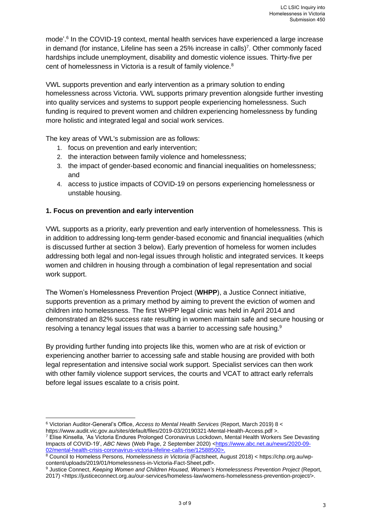mode'. 6 In the COVID-19 context, mental health services have experienced a large increase in demand (for instance, Lifeline has seen a 25% increase in calls)<sup>7</sup>. Other commonly faced hardships include unemployment, disability and domestic violence issues. Thirty-five per cent of homelessness in Victoria is a result of family violence.<sup>8</sup>

VWL supports prevention and early intervention as a primary solution to ending homelessness across Victoria. VWL supports primary prevention alongside further investing into quality services and systems to support people experiencing homelessness. Such funding is required to prevent women and children experiencing homelessness by funding more holistic and integrated legal and social work services.

The key areas of VWL's submission are as follows:

- 1. focus on prevention and early intervention;
- 2. the interaction between family violence and homelessness;
- 3. the impact of gender-based economic and financial inequalities on homelessness; and
- 4. access to justice impacts of COVID-19 on persons experiencing homelessness or unstable housing.

# **1. Focus on prevention and early intervention**

VWL supports as a priority, early prevention and early intervention of homelessness. This is in addition to addressing long-term gender-based economic and financial inequalities (which is discussed further at section 3 below). Early prevention of homeless for women includes addressing both legal and non-legal issues through holistic and integrated services. It keeps women and children in housing through a combination of legal representation and social work support.

The Women's Homelessness Prevention Project (**WHPP**), a Justice Connect initiative, supports prevention as a primary method by aiming to prevent the eviction of women and children into homelessness. The first WHPP legal clinic was held in April 2014 and demonstrated an 82% success rate resulting in women maintain safe and secure housing or resolving a tenancy legal issues that was a barrier to accessing safe housing.<sup>9</sup>

By providing further funding into projects like this, women who are at risk of eviction or experiencing another barrier to accessing safe and stable housing are provided with both legal representation and intensive social work support. Specialist services can then work with other family violence support services, the courts and VCAT to attract early referrals before legal issues escalate to a crisis point.

<sup>6</sup> Victorian Auditor-General's Office, *Access to Mental Health Services* (Report, March 2019) 8 < https://www.audit.vic.gov.au/sites/default/files/2019-03/20190321-Mental-Health-Access.pdf >.

<sup>7</sup> Elise Kinsella, 'As Victoria Endures Prolonged Coronavirus Lockdown, Mental Health Workers See Devasting Impacts of COVID-19', *ABC News* (Web Page, 2 September 2020) [<https://www.abc.net.au/news/2020-09-](https://www.abc.net.au/news/2020-09-02/mental-health-crisis-coronavirus-victoria-lifeline-calls-rise/12588500) [02/mental-health-crisis-coronavirus-victoria-lifeline-calls-rise/12588500>](https://www.abc.net.au/news/2020-09-02/mental-health-crisis-coronavirus-victoria-lifeline-calls-rise/12588500).

<sup>8</sup> Council to Homeless Persons, *Homelessness in Victoria* (Factsheet, August 2018) < https://chp.org.au/wpcontent/uploads/2019/01/Homelessness-in-Victoria-Fact-Sheet.pdf>.

<sup>9</sup> Justice Connect, *Keeping Women and Children Housed, Women's Homelessness Prevention Project* (Report, 2017) <https://justiceconnect.org.au/our-services/homeless-law/womens-homelessness-prevention-project/>.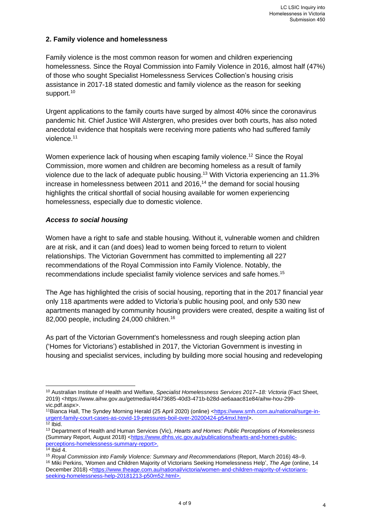# **2. Family violence and homelessness**

Family violence is the most common reason for women and children experiencing homelessness. Since the Royal Commission into Family Violence in 2016, almost half (47%) of those who sought Specialist Homelessness Services Collection's housing crisis assistance in 2017-18 stated domestic and family violence as the reason for seeking support.<sup>10</sup>

Urgent applications to the family courts have surged by almost 40% since the coronavirus pandemic hit. Chief Justice Will Alstergren, who presides over both courts, has also noted anecdotal evidence that hospitals were receiving more patients who had suffered family violence. 11

Women experience lack of housing when escaping family violence.<sup>12</sup> Since the Royal Commission, more women and children are becoming homeless as a result of family violence due to the lack of adequate public housing.<sup>13</sup> With Victoria experiencing an 11.3% increase in homelessness between 2011 and 2016, <sup>14</sup> the demand for social housing highlights the critical shortfall of social housing available for women experiencing homelessness, especially due to domestic violence.

### *Access to social housing*

Women have a right to safe and stable housing. Without it, vulnerable women and children are at risk, and it can (and does) lead to women being forced to return to violent relationships. The Victorian Government has committed to implementing all 227 recommendations of the Royal Commission into Family Violence. Notably, the recommendations include specialist family violence services and safe homes.<sup>15</sup>

The Age has highlighted the crisis of social housing, reporting that in the 2017 financial year only 118 apartments were added to Victoria's public housing pool, and only 530 new apartments managed by community housing providers were created, despite a waiting list of 82,000 people, including 24,000 children.<sup>16</sup>

As part of the Victorian Government's homelessness and rough sleeping action plan ('Homes for Victorians') established in 2017, the Victorian Government is investing in housing and specialist services, including by building more social housing and redeveloping

<sup>10</sup> Australian Institute of Health and Welfare, *Specialist Homelessness Services 2017–18: Victoria* (Fact Sheet, 2019) <https://www.aihw.gov.au/getmedia/46473685-40d3-471b-b28d-ae6aaac81e84/aihw-hou-299 vic.pdf.aspx>.

<sup>11</sup>Bianca Hall, The Syndey Morning Herald (25 April 2020) (online) [<https://www.smh.com.au/national/surge-in](https://www.smh.com.au/national/surge-in-urgent-family-court-cases-as-covid-19-pressures-boil-over-20200424-p54mxl.html)[urgent-family-court-cases-as-covid-19-pressures-boil-over-20200424-p54mxl.html>](https://www.smh.com.au/national/surge-in-urgent-family-court-cases-as-covid-19-pressures-boil-over-20200424-p54mxl.html).  $12$  Ibid.

<sup>13</sup> Department of Health and Human Services (Vic), *Hearts and Homes: Public Perceptions of Homelessness* (Summary Report, August 2018) [<https://www.dhhs.vic.gov.au/publications/hearts-and-homes-public](https://www.dhhs.vic.gov.au/publications/hearts-and-homes-public-perceptions-homelessness-summary-report)[perceptions-homelessness-summary-report>](https://www.dhhs.vic.gov.au/publications/hearts-and-homes-public-perceptions-homelessness-summary-report).

<sup>14</sup> Ibid 4.

<sup>15</sup> *Royal Commission into Family Violence: Summary and Recommendations* (Report, March 2016) 48–9. <sup>16</sup> Miki Perkins, 'Women and Children Majority of Victorians Seeking Homelessness Help', *The Age* (online, 14 December 2018) [<https://www.theage.com.au/national/victoria/women-and-children-majority-of-victorians](https://www.theage.com.au/national/victoria/women-and-children-majority-of-victorians-seeking-homelessness-help-20181213-p50m52.html)[seeking-homelessness-help-20181213-p50m52.html>](https://www.theage.com.au/national/victoria/women-and-children-majority-of-victorians-seeking-homelessness-help-20181213-p50m52.html).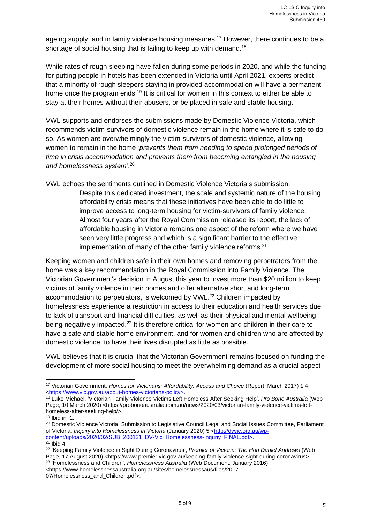ageing supply, and in family violence housing measures.<sup>17</sup> However, there continues to be a shortage of social housing that is failing to keep up with demand.<sup>18</sup>

While rates of rough sleeping have fallen during some periods in 2020, and while the funding for putting people in hotels has been extended in Victoria until April 2021, experts predict that a minority of rough sleepers staying in provided accommodation will have a permanent home once the program ends.<sup>19</sup> It is critical for women in this context to either be able to stay at their homes without their abusers, or be placed in safe and stable housing.

VWL supports and endorses the submissions made by Domestic Violence Victoria, which recommends victim-survivors of domestic violence remain in the home where it is safe to do so. As women are overwhelmingly the victim-survivors of domestic violence, allowing women to remain in the home *'prevents them from needing to spend prolonged periods of time in crisis accommodation and prevents them from becoming entangled in the housing and homelessness system'*. 20

VWL echoes the sentiments outlined in Domestic Violence Victoria's submission: Despite this dedicated investment, the scale and systemic nature of the housing affordability crisis means that these initiatives have been able to do little to improve access to long-term housing for victim-survivors of family violence. Almost four years after the Royal Commission released its report, the lack of affordable housing in Victoria remains one aspect of the reform where we have seen very little progress and which is a significant barrier to the effective implementation of many of the other family violence reforms. $21$ 

Keeping women and children safe in their own homes and removing perpetrators from the home was a key recommendation in the Royal Commission into Family Violence. The Victorian Government's decision in August this year to invest more than \$20 million to keep victims of family violence in their homes and offer alternative short and long-term accommodation to perpetrators, is welcomed by VWL.<sup>22</sup> Children impacted by homelessness experience a restriction in access to their education and health services due to lack of transport and financial difficulties, as well as their physical and mental wellbeing being negatively impacted.<sup>23</sup> It is therefore critical for women and children in their care to have a safe and stable home environment, and for women and children who are affected by domestic violence, to have their lives disrupted as little as possible.

VWL believes that it is crucial that the Victorian Government remains focused on funding the development of more social housing to meet the overwhelming demand as a crucial aspect

<https://www.homelessnessaustralia.org.au/sites/homelessnessaus/files/2017- 07/Homelessness\_and\_Children.pdf>.

<sup>17</sup> Victorian Government, *Homes for Victorians: Affordability, Access and Choice* (Report, March 2017) 1,4 [<https://www.vic.gov.au/about-homes-victorians-policy>](https://www.vic.gov.au/about-homes-victorians-policy).

<sup>18</sup> Luke Michael, 'Victorian Family Violence Victims Left Homeless After Seeking Help', *Pro Bono Australia* (Web Page, 10 March 2020) **<**https://probonoaustralia.com.au/news/2020/03/victorian-family-violence-victims-lefthomeless-after-seeking-help/>.

 $19$  Ibid in 1.

<sup>&</sup>lt;sup>20</sup> Domestic Violence Victoria, Submission to Legislative Council Legal and Social Issues Committee, Parliament of Victoria, *Inquiry into Homelessness in Victoria* (January 2020) 5 [<http://dvvic.org.au/wp](http://dvvic.org.au/wp-content/uploads/2020/02/SUB_200131_DV-Vic_Homelessness-Inquriy_FINAL.pdf)[content/uploads/2020/02/SUB\\_200131\\_DV-Vic\\_Homelessness-Inquriy\\_FINAL.pdf>](http://dvvic.org.au/wp-content/uploads/2020/02/SUB_200131_DV-Vic_Homelessness-Inquriy_FINAL.pdf).

 $21$  Ibid 4.

<sup>22</sup> 'Keeping Family Violence in Sight During Coronavirus', *Premier of Victoria: The Hon Daniel Andrews* (Web Page, 17 August 2020) <https://www.premier.vic.gov.au/keeping-family-violence-sight-during-coronavirus>. 23 'Homelessness and Children', *Homelessness Australia* (Web Document, January 2016)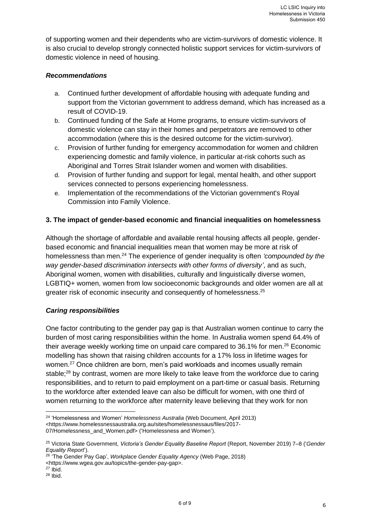of supporting women and their dependents who are victim-survivors of domestic violence. It is also crucial to develop strongly connected holistic support services for victim-survivors of domestic violence in need of housing.

# *Recommendations*

- a. Continued further development of affordable housing with adequate funding and support from the Victorian government to address demand, which has increased as a result of COVID-19.
- b. Continued funding of the Safe at Home programs, to ensure victim-survivors of domestic violence can stay in their homes and perpetrators are removed to other accommodation (where this is the desired outcome for the victim-survivor).
- c. Provision of further funding for emergency accommodation for women and children experiencing domestic and family violence, in particular at-risk cohorts such as Aboriginal and Torres Strait Islander women and women with disabilities.
- d. Provision of further funding and support for legal, mental health, and other support services connected to persons experiencing homelessness.
- e. Implementation of the recommendations of the Victorian government's Royal Commission into Family Violence.

# **3. The impact of gender-based economic and financial inequalities on homelessness**

Although the shortage of affordable and available rental housing affects all people, genderbased economic and financial inequalities mean that women may be more at risk of homelessness than men.<sup>24</sup> The experience of gender inequality is often *'compounded by the way gender-based discrimination intersects with other forms of diversity'*, and as such, Aboriginal women, women with disabilities, culturally and linguistically diverse women, LGBTIQ+ women, women from low socioeconomic backgrounds and older women are all at greater risk of economic insecurity and consequently of homelessness.<sup>25</sup>

#### *Caring responsibilities*

One factor contributing to the gender pay gap is that Australian women continue to carry the burden of most caring responsibilities within the home. In Australia women spend 64.4% of their average weekly working time on unpaid care compared to 36.1% for men.<sup>26</sup> Economic modelling has shown that raising children accounts for a 17% loss in lifetime wages for women.<sup>27</sup> Once children are born, men's paid workloads and incomes usually remain stable;<sup>28</sup> by contrast, women are more likely to take leave from the workforce due to caring responsibilities, and to return to paid employment on a part-time or casual basis. Returning to the workforce after extended leave can also be difficult for women, with one third of women returning to the workforce after maternity leave believing that they work for non

<sup>24</sup> 'Homelessness and Women' *Homelessness Australia* (Web Document, April 2013)

<sup>&</sup>lt;https://www.homelessnessaustralia.org.au/sites/homelessnessaus/files/2017-

<sup>07/</sup>Homelessness\_and\_Women.pdf> ('Homelessness and Women').

<sup>25</sup> Victoria State Government, *Victoria's Gender Equality Baseline Report* (Report, November 2019) 7–8 ('*Gender Equality Report*').

<sup>26</sup> 'The Gender Pay Gap', *Workplace Gender Equality Agency* (Web Page, 2018) <https://www.wgea.gov.au/topics/the-gender-pay-gap>.

<sup>27</sup> Ibid.

<sup>28</sup> Ibid.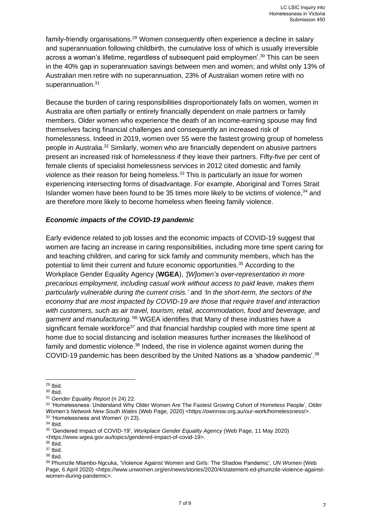family-friendly organisations.<sup>29</sup> Women consequently often experience a decline in salary and superannuation following childbirth, the cumulative loss of which is usually irreversible across a woman's lifetime, regardless of subsequent paid employmen'. <sup>30</sup> This can be seen in the 40% gap in superannuation savings between men and women; and whilst only 13% of Australian men retire with no superannuation, 23% of Australian women retire with no superannuation.<sup>31</sup>

Because the burden of caring responsibilities disproportionately falls on women, women in Australia are often partially or entirely financially dependent on male partners or family members. Older women who experience the death of an income-earning spouse may find themselves facing financial challenges and consequently an increased risk of homelessness. Indeed in 2019, women over 55 were the fastest growing group of homeless people in Australia.<sup>32</sup> Similarly, women who are financially dependent on abusive partners present an increased risk of homelessness if they leave their partners. Fifty-five per cent of female clients of specialist homelessness services in 2012 cited domestic and family violence as their reason for being homeless.<sup>33</sup> This is particularly an issue for women experiencing intersecting forms of disadvantage. For example, Aboriginal and Torres Strait Islander women have been found to be 35 times more likely to be victims of violence,  $34$  and are therefore more likely to become homeless when fleeing family violence.

# *Economic impacts of the COVID-19 pandemic*

Early evidence related to job losses and the economic impacts of COVID-19 suggest that women are facing an increase in caring responsibilities, including more time spent caring for and teaching children, and caring for sick family and community members, which has the potential to limit their current and future economic opportunities.<sup>35</sup> According to the Workplace Gender Equality Agency (**WGEA**), *'[W]omen's over-representation in more precarious employment, including casual work without access to paid leave, makes them particularly vulnerable during the current crisis.'* and *'In the short-term, the sectors of the economy that are most impacted by COVID-19 are those that require travel and interaction with customers, such as air travel, tourism, retail, accommodation, food and beverage, and*  garment and manufacturing.<sup>36</sup> WGEA identifies that Many of these industries have a significant female workforce<sup>37</sup> and that financial hardship coupled with more time spent at home due to social distancing and isolation measures further increases the likelihood of family and domestic violence.<sup>38</sup> Indeed, the rise in violence against women during the COVID-19 pandemic has been described by the United Nations as a 'shadow pandemic'.<sup>39</sup>

<sup>29</sup> Ibid.

<sup>30</sup> Ibid.

<sup>31</sup> *Gender Equality Report* (n 24) 22.

<sup>32</sup> 'Homelessness: Understand Why Older Women Are The Fastest Growing Cohort of Homeless People', *Older Women's Network New South Wales* (Web Page, 2020) <https://ownnsw.org.au/our-work/homelessness/>. <sup>33</sup> 'Homelessness and Women' (n 23).

<sup>34</sup> Ibid.

<sup>35</sup> 'Gendered Impact of COVID-19', *Workplace Gender Equality Agency* (Web Page, 11 May 2020) <https://www.wgea.gov.au/topics/gendered-impact-of-covid-19>.

 $36$  Ibid.

<sup>37</sup> Ibid.

<sup>38</sup> Ibid.

<sup>39</sup> Phumzile Mlambo-Ngcuka, 'Violence Against Women and Girls: The Shadow Pandemic', *UN Women* (Web Page, 6 April 2020) <https://www.unwomen.org/en/news/stories/2020/4/statement-ed-phumzile-violence-againstwomen-during-pandemic>.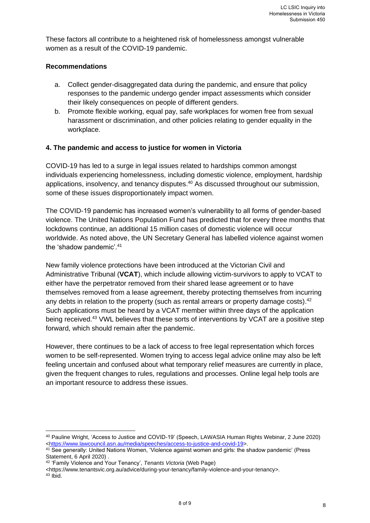These factors all contribute to a heightened risk of homelessness amongst vulnerable women as a result of the COVID-19 pandemic.

### **Recommendations**

- a. Collect gender-disaggregated data during the pandemic, and ensure that policy responses to the pandemic undergo gender impact assessments which consider their likely consequences on people of different genders.
- b. Promote flexible working, equal pay, safe workplaces for women free from sexual harassment or discrimination, and other policies relating to gender equality in the workplace.

### **4. The pandemic and access to justice for women in Victoria**

COVID-19 has led to a surge in legal issues related to hardships common amongst individuals experiencing homelessness, including domestic violence, employment, hardship applications, insolvency, and tenancy disputes. <sup>40</sup> As discussed throughout our submission, some of these issues disproportionately impact women.

The COVID-19 pandemic has increased women's vulnerability to all forms of gender-based violence. The United Nations Population Fund has predicted that for every three months that lockdowns continue, an additional 15 million cases of domestic violence will occur worldwide. As noted above, the UN Secretary General has labelled violence against women the 'shadow pandemic'.<sup>41</sup>

New family violence protections have been introduced at the Victorian Civil and Administrative Tribunal (**VCAT**), which include allowing victim-survivors to apply to VCAT to either have the perpetrator removed from their shared lease agreement or to have themselves removed from a lease agreement, thereby protecting themselves from incurring any debts in relation to the property (such as rental arrears or property damage costs).<sup>42</sup> Such applications must be heard by a VCAT member within three days of the application being received.<sup>43</sup> VWL believes that these sorts of interventions by VCAT are a positive step forward, which should remain after the pandemic.

However, there continues to be a lack of access to free legal representation which forces women to be self-represented. Women trying to access legal advice online may also be left feeling uncertain and confused about what temporary relief measures are currently in place, given the frequent changes to rules, regulations and processes. Online legal help tools are an important resource to address these issues.

<sup>40</sup> Pauline Wright, 'Access to Justice and COVID-19' (Speech, LAWASIA Human Rights Webinar, 2 June 2020) [<https://www.lawcouncil.asn.au/media/speeches/access-to-justice-and-covid-19>](https://www.lawcouncil.asn.au/media/speeches/access-to-justice-and-covid-19).

<sup>41</sup> See generally: United Nations Women, 'Violence against women and girls: the shadow pandemic' (Press Statement, 6 April 2020) .

<sup>42</sup> 'Family Violence and Your Tenancy', *Tenants Victoria* (Web Page)

<sup>&</sup>lt;https://www.tenantsvic.org.au/advice/during-your-tenancy/family-violence-and-your-tenancy>.  $43$  Ibid.